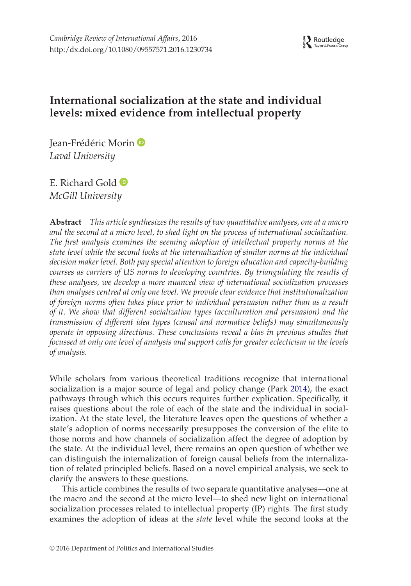<span id="page-0-0"></span>Routledge

# **International socialization at the state and individual levels: mixed evidence from intellectual property**

Jean-Frédéric Morin *Laval University*

E.Richard Gold <sup>D</sup> *McGill University*

**Abstract** *This article synthesizes the results of two quantitative analyses, one at a macro and the second at a micro level, to shed light on the process of international socialization. The first analysis examines the seeming adoption of intellectual property norms at the state level while the second looks at the internalization of similar norms at the individual decision maker level. Both pay special attention to foreign education and capacity-building courses as carriers of US norms to developing countries. By triangulating the results of these analyses, we develop a more nuanced view of international socialization processes than analyses centred at only one level. We provide clear evidence that institutionalization of foreign norms often takes place prior to individual persuasion rather than as a result of it. We show that different socialization types (acculturation and persuasion) and the transmission of different idea types (causal and normative beliefs) may simultaneously operate in opposing directions. These conclusions reveal a bias in previous studies that focussed at only one level of analysis and support calls for greater eclecticism in the levels of analysis.*

While scholars from various theoretical traditions recognize that international socialization is a major source of legal and policy change (Park [2014\)](#page-17-0), the exact pathways through which this occurs requires further explication. Specifically, it raises questions about the role of each of the state and the individual in socialization. At the state level, the literature leaves open the questions of whether a state's adoption of norms necessarily presupposes the conversion of the elite to those norms and how channels of socialization affect the degree of adoption by the state. At the individual level, there remains an open question of whether we can distinguish the internalization of foreign causal beliefs from the internalization of related principled beliefs. Based on a novel empirical analysis, we seek to clarify the answers to these questions.

This article combines the results of two separate quantitative analyses—one at the macro and the second at the micro level—to shed new light on international socialization processes related to intellectual property (IP) rights. The first study examines the adoption of ideas at the *state* level while the second looks at the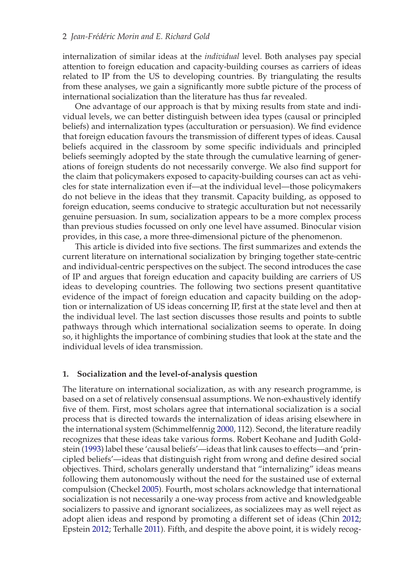internalization of similar ideas at the *individual* level. Both analyses pay special attention to foreign education and capacity-building courses as carriers of ideas related to IP from the US to developing countries. By triangulating the results from these analyses, we gain a significantly more subtle picture of the process of international socialization than the literature has thus far revealed.

One advantage of our approach is that by mixing results from state and individual levels, we can better distinguish between idea types (causal or principled beliefs) and internalization types (acculturation or persuasion). We find evidence that foreign education favours the transmission of different types of ideas. Causal beliefs acquired in the classroom by some specific individuals and principled beliefs seemingly adopted by the state through the cumulative learning of generations of foreign students do not necessarily converge. We also find support for the claim that policymakers exposed to capacity-building courses can act as vehicles for state internalization even if—at the individual level—those policymakers do not believe in the ideas that they transmit. Capacity building, as opposed to foreign education, seems conducive to strategic acculturation but not necessarily genuine persuasion. In sum, socialization appears to be a more complex process than previous studies focussed on only one level have assumed. Binocular vision provides, in this case, a more three-dimensional picture of the phenomenon.

This article is divided into five sections. The first summarizes and extends the current literature on international socialization by bringing together state-centric and individual-centric perspectives on the subject. The second introduces the case of IP and argues that foreign education and capacity building are carriers of US ideas to developing countries. The following two sections present quantitative evidence of the impact of foreign education and capacity building on the adoption or internalization of US ideas concerning IP, first at the state level and then at the individual level. The last section discusses those results and points to subtle pathways through which international socialization seems to operate. In doing so, it highlights the importance of combining studies that look at the state and the individual levels of idea transmission.

## **1. Socialization and the level-of-analysis question**

<span id="page-1-5"></span><span id="page-1-4"></span><span id="page-1-3"></span><span id="page-1-2"></span><span id="page-1-1"></span><span id="page-1-0"></span>The literature on international socialization, as with any research programme, is based on a set of relatively consensual assumptions. We non-exhaustively identify five of them. First, most scholars agree that international socialization is a social process that is directed towards the internalization of ideas arising elsewhere in the international system (Schimmelfennig [2000,](#page-17-1) 112). Second, the literature readily recognizes that these ideas take various forms. Robert Keohane and Judith Goldstein [\(1993](#page-17-2)) label these 'causal beliefs'—ideas that link causes to effects—and 'principled beliefs'—ideas that distinguish right from wrong and define desired social objectives. Third, scholars generally understand that "internalizing" ideas means following them autonomously without the need for the sustained use of external compulsion (Checkel [2005\)](#page-16-0). Fourth, most scholars acknowledge that international socialization is not necessarily a one-way process from active and knowledgeable socializers to passive and ignorant socializees, as socializees may as well reject as adopt alien ideas and respond by promoting a different set of ideas (Chin [2012](#page-16-1); Epstein [2012;](#page-16-2) Terhalle [2011\)](#page-18-0). Fifth, and despite the above point, it is widely recog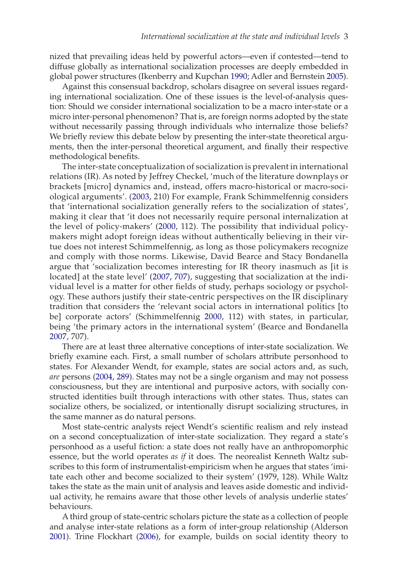nized that prevailing ideas held by powerful actors—even if contested—tend to diffuse globally as international socialization processes are deeply embedded in global power structures (Ikenberry and Kupchan [1990;](#page-17-3) Adler and Bernstein [2005](#page-16-3)).

<span id="page-2-5"></span><span id="page-2-0"></span>Against this consensual backdrop, scholars disagree on several issues regarding international socialization. One of these issues is the level-of-analysis question: Should we consider international socialization to be a macro inter-state or a micro inter-personal phenomenon? That is, are foreign norms adopted by the state without necessarily passing through individuals who internalize those beliefs? We briefly review this debate below by presenting the inter-state theoretical arguments, then the inter-personal theoretical argument, and finally their respective methodological benefits.

<span id="page-2-3"></span>The inter-state conceptualization of socialization is prevalent in international relations (IR). As noted by Jeffrey Checkel, 'much of the literature downplays or brackets [micro] dynamics and, instead, offers macro-historical or macro-sociological arguments'. ([2003](#page-16-4), 210) For example, Frank Schimmelfennig considers that 'international socialization generally refers to the socialization of states', making it clear that 'it does not necessarily require personal internalization at the level of policy-makers' [\(2000,](#page-17-1) 112). The possibility that individual policymakers might adopt foreign ideas without authentically believing in their virtue does not interest Schimmelfennig, as long as those policymakers recognize and comply with those norms. Likewise, David Bearce and Stacy Bondanella argue that 'socialization becomes interesting for IR theory inasmuch as [it is located] at the state level' [\(2007, 707\)](#page-16-5), suggesting that socialization at the individual level is a matter for other fields of study, perhaps sociology or psychology. These authors justify their state-centric perspectives on the IR disciplinary tradition that considers the 'relevant social actors in international politics [to be] corporate actors' (Schimmelfennig [2000](#page-17-1), 112) with states, in particular, being 'the primary actors in the international system' (Bearce and Bondanella [2007](#page-16-5), 707).

<span id="page-2-6"></span><span id="page-2-2"></span>There are at least three alternative conceptions of inter-state socialization. We briefly examine each. First, a small number of scholars attribute personhood to states. For Alexander Wendt, for example, states are social actors and, as such, *are* persons ([2004, 289](#page-18-1)). States may not be a single organism and may not possess consciousness, but they are intentional and purposive actors, with socially constructed identities built through interactions with other states. Thus, states can socialize others, be socialized, or intentionally disrupt socializing structures, in the same manner as do natural persons.

Most state-centric analysts reject Wendt's scientific realism and rely instead on a second conceptualization of inter-state socialization. They regard a state's personhood as a useful fiction: a state does not really have an anthropomorphic essence, but the world operates *as if* it does. The neorealist Kenneth Waltz subscribes to this form of instrumentalist-empiricism when he argues that states 'imitate each other and become socialized to their system' (1979, 128). While Waltz takes the state as the main unit of analysis and leaves aside domestic and individual activity, he remains aware that those other levels of analysis underlie states' behaviours.

<span id="page-2-4"></span><span id="page-2-1"></span>A third group of state-centric scholars picture the state as a collection of people and analyse inter-state relations as a form of inter-group relationship (Alderson [2001\)](#page-16-6). Trine Flockhart ([2006\)](#page-17-4), for example, builds on social identity theory to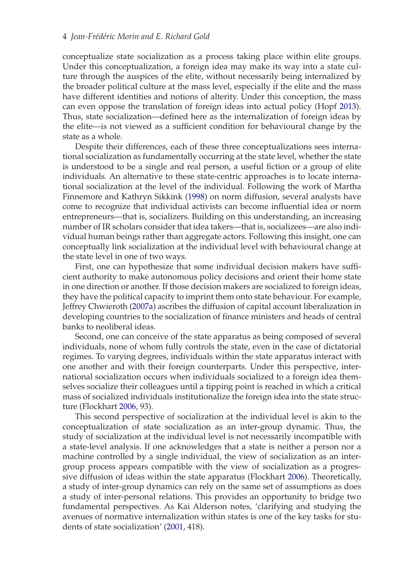conceptualize state socialization as a process taking place within elite groups. Under this conceptualization, a foreign idea may make its way into a state culture through the auspices of the elite, without necessarily being internalized by the broader political culture at the mass level, especially if the elite and the mass have different identities and notions of alterity. Under this conception, the mass can even oppose the translation of foreign ideas into actual policy (Hopf [2013\)](#page-17-5). Thus, state socialization—defined here as the internalization of foreign ideas by the elite—is not viewed as a sufficient condition for behavioural change by the state as a whole.

<span id="page-3-2"></span><span id="page-3-1"></span>Despite their differences, each of these three conceptualizations sees international socialization as fundamentally occurring at the state level, whether the state is understood to be a single and real person, a useful fiction or a group of elite individuals. An alternative to these state-centric approaches is to locate international socialization at the level of the individual. Following the work of Martha Finnemore and Kathryn Sikkink ([1998\)](#page-17-6) on norm diffusion, several analysts have come to recognize that individual activists can become influential idea or norm entrepreneurs—that is, socializers. Building on this understanding, an increasing number of IR scholars consider that idea takers—that is, socializees—are also individual human beings rather than aggregate actors. Following this insight, one can conceptually link socialization at the individual level with behavioural change at the state level in one of two ways.

First, one can hypothesize that some individual decision makers have sufficient authority to make autonomous policy decisions and orient their home state in one direction or another. If those decision makers are socialized to foreign ideas, they have the political capacity to imprint them onto state behaviour. For example, Jeffrey Chwieroth ([2007a\)](#page-16-7) ascribes the diffusion of capital account liberalization in developing countries to the socialization of finance ministers and heads of central banks to neoliberal ideas.

<span id="page-3-0"></span>Second, one can conceive of the state apparatus as being composed of several individuals, none of whom fully controls the state, even in the case of dictatorial regimes. To varying degrees, individuals within the state apparatus interact with one another and with their foreign counterparts. Under this perspective, international socialization occurs when individuals socialized to a foreign idea themselves socialize their colleagues until a tipping point is reached in which a critical mass of socialized individuals institutionalize the foreign idea into the state structure (Flockhart [2006](#page-17-4), 93).

This second perspective of socialization at the individual level is akin to the conceptualization of state socialization as an inter-group dynamic. Thus, the study of socialization at the individual level is not necessarily incompatible with a state-level analysis. If one acknowledges that a state is neither a person nor a machine controlled by a single individual, the view of socialization as an intergroup process appears compatible with the view of socialization as a progressive diffusion of ideas within the state apparatus (Flockhart [2006\)](#page-17-4). Theoretically, a study of inter-group dynamics can rely on the same set of assumptions as does a study of inter-personal relations. This provides an opportunity to bridge two fundamental perspectives. As Kai Alderson notes, 'clarifying and studying the avenues of normative internalization within states is one of the key tasks for students of state socialization' [\(2001](#page-16-6), 418).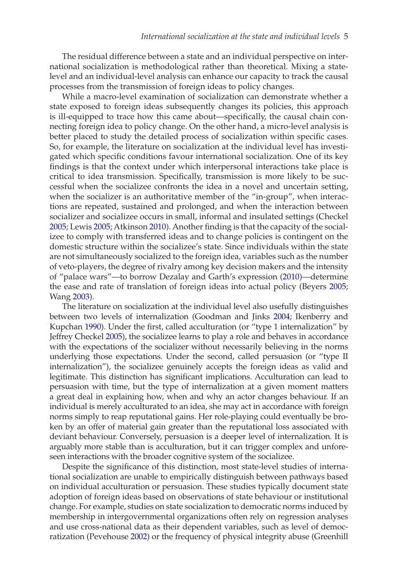The residual difference between a state and an individual perspective on international socialization is methodological rather than theoretical. Mixing a statelevel and an individual-level analysis can enhance our capacity to track the causal processes from the transmission of foreign ideas to policy changes.

While a macro-level examination of socialization can demonstrate whether a state exposed to foreign ideas subsequently changes its policies, this approach is ill-equipped to trace how this came about—specifically, the causal chain connecting foreign idea to policy change. On the other hand, a micro-level analysis is better placed to study the detailed process of socialization within specific cases. So, for example, the literature on socialization at the individual level has investigated which specific conditions favour international socialization. One of its key findings is that the context under which interpersonal interactions take place is critical to idea transmission. Specifically, transmission is more likely to be successful when the socializee confronts the idea in a novel and uncertain setting, when the socializer is an authoritative member of the "in-group", when interactions are repeated, sustained and prolonged, and when the interaction between socializer and socializee occurs in small, informal and insulated settings (Checkel [2005;](#page-16-0) Lewis [2005](#page-17-7); Atkinson [2010](#page-16-8)). Another finding is that the capacity of the socializee to comply with transferred ideas and to change policies is contingent on the domestic structure within the socializee's state. Since individuals within the state are not simultaneously socialized to the foreign idea, variables such as the number of veto-players, the degree of rivalry among key decision makers and the intensity of "palace wars"—to borrow Dezalay and Garth's expression ([2010\)](#page-16-9)—determine the ease and rate of translation of foreign ideas into actual policy (Beyers [2005;](#page-16-10) Wang [2003](#page-18-2)).

<span id="page-4-6"></span><span id="page-4-4"></span><span id="page-4-3"></span><span id="page-4-2"></span><span id="page-4-1"></span><span id="page-4-0"></span>The literature on socialization at the individual level also usefully distinguishes between two levels of internalization (Goodman and Jinks [2004](#page-17-8); Ikenberry and Kupchan [1990](#page-17-3)). Under the first, called acculturation (or "type 1 internalization" by Jeffrey Checkel [2005\)](#page-16-0), the socializee learns to play a role and behaves in accordance with the expectations of the socializer without necessarily believing in the norms underlying those expectations. Under the second, called persuasion (or "type II internalization"), the socializee genuinely accepts the foreign ideas as valid and legitimate. This distinction has significant implications. Acculturation can lead to persuasion with time, but the type of internalization at a given moment matters a great deal in explaining how, when and why an actor changes behaviour. If an individual is merely acculturated to an idea, she may act in accordance with foreign norms simply to reap reputational gains. Her role-playing could eventually be broken by an offer of material gain greater than the reputational loss associated with deviant behaviour. Conversely, persuasion is a deeper level of internalization. It is arguably more stable than is acculturation, but it can trigger complex and unforeseen interactions with the broader cognitive system of the socializee.

<span id="page-4-5"></span>Despite the significance of this distinction, most state-level studies of international socialization are unable to empirically distinguish between pathways based on individual acculturation or persuasion. These studies typically document state adoption of foreign ideas based on observations of state behaviour or institutional change. For example, studies on state socialization to democratic norms induced by membership in intergovernmental organizations often rely on regression analyses and use cross-national data as their dependent variables, such as level of democratization (Pevehouse [2002\)](#page-17-9) or the frequency of physical integrity abuse (Greenhill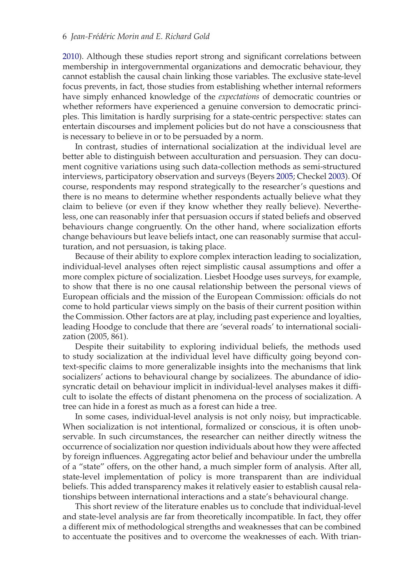#### 6 *Jean-Frédéric Morin and E. Richard Gold*

<span id="page-5-0"></span>[2010\)](#page-17-10). Although these studies report strong and significant correlations between membership in intergovernmental organizations and democratic behaviour, they cannot establish the causal chain linking those variables. The exclusive state-level focus prevents, in fact, those studies from establishing whether internal reformers have simply enhanced knowledge of the *expectations* of democratic countries or whether reformers have experienced a genuine conversion to democratic principles. This limitation is hardly surprising for a state-centric perspective: states can entertain discourses and implement policies but do not have a consciousness that is necessary to believe in or to be persuaded by a norm.

In contrast, studies of international socialization at the individual level are better able to distinguish between acculturation and persuasion. They can document cognitive variations using such data-collection methods as semi-structured interviews, participatory observation and surveys (Beyers [2005;](#page-16-10) Checkel [2003](#page-16-4)). Of course, respondents may respond strategically to the researcher's questions and there is no means to determine whether respondents actually believe what they claim to believe (or even if they know whether they really believe). Nevertheless, one can reasonably infer that persuasion occurs if stated beliefs and observed behaviours change congruently. On the other hand, where socialization efforts change behaviours but leave beliefs intact, one can reasonably surmise that acculturation, and not persuasion, is taking place.

Because of their ability to explore complex interaction leading to socialization, individual-level analyses often reject simplistic causal assumptions and offer a more complex picture of socialization. Liesbet Hoodge uses surveys, for example, to show that there is no one causal relationship between the personal views of European officials and the mission of the European Commission: officials do not come to hold particular views simply on the basis of their current position within the Commission. Other factors are at play, including past experience and loyalties, leading Hoodge to conclude that there are 'several roads' to international socialization (2005, 861).

Despite their suitability to exploring individual beliefs, the methods used to study socialization at the individual level have difficulty going beyond context-specific claims to more generalizable insights into the mechanisms that link socializers' actions to behavioural change by socializees. The abundance of idiosyncratic detail on behaviour implicit in individual-level analyses makes it difficult to isolate the effects of distant phenomena on the process of socialization. A tree can hide in a forest as much as a forest can hide a tree.

In some cases, individual-level analysis is not only noisy, but impracticable. When socialization is not intentional, formalized or conscious, it is often unobservable. In such circumstances, the researcher can neither directly witness the occurrence of socialization nor question individuals about how they were affected by foreign influences. Aggregating actor belief and behaviour under the umbrella of a "state" offers, on the other hand, a much simpler form of analysis. After all, state-level implementation of policy is more transparent than are individual beliefs. This added transparency makes it relatively easier to establish causal relationships between international interactions and a state's behavioural change.

This short review of the literature enables us to conclude that individual-level and state-level analysis are far from theoretically incompatible. In fact, they offer a different mix of methodological strengths and weaknesses that can be combined to accentuate the positives and to overcome the weaknesses of each. With trian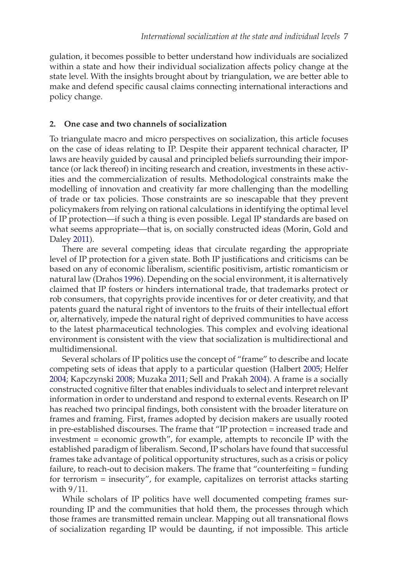gulation, it becomes possible to better understand how individuals are socialized within a state and how their individual socialization affects policy change at the state level. With the insights brought about by triangulation, we are better able to make and defend specific causal claims connecting international interactions and policy change.

#### **2. One case and two channels of socialization**

To triangulate macro and micro perspectives on socialization, this article focuses on the case of ideas relating to IP. Despite their apparent technical character, IP laws are heavily guided by causal and principled beliefs surrounding their importance (or lack thereof) in inciting research and creation, investments in these activities and the commercialization of results. Methodological constraints make the modelling of innovation and creativity far more challenging than the modelling of trade or tax policies. Those constraints are so inescapable that they prevent policymakers from relying on rational calculations in identifying the optimal level of IP protection—if such a thing is even possible. Legal IP standards are based on what seems appropriate—that is, on socially constructed ideas (Morin, Gold and Daley [2011](#page-17-11)).

<span id="page-6-4"></span><span id="page-6-0"></span>There are several competing ideas that circulate regarding the appropriate level of IP protection for a given state. Both IP justifications and criticisms can be based on any of economic liberalism, scientific positivism, artistic romanticism or natural law (Drahos [1996\)](#page-16-11). Depending on the social environment, it is alternatively claimed that IP fosters or hinders international trade, that trademarks protect or rob consumers, that copyrights provide incentives for or deter creativity, and that patents guard the natural right of inventors to the fruits of their intellectual effort or, alternatively, impede the natural right of deprived communities to have access to the latest pharmaceutical technologies. This complex and evolving ideational environment is consistent with the view that socialization is multidirectional and multidimensional.

<span id="page-6-6"></span><span id="page-6-5"></span><span id="page-6-3"></span><span id="page-6-2"></span><span id="page-6-1"></span>Several scholars of IP politics use the concept of "frame" to describe and locate competing sets of ideas that apply to a particular question (Halbert [2005](#page-17-12); Helfer [2004;](#page-17-13) Kapczynski [2008](#page-17-14); Muzaka [2011;](#page-17-15) Sell and Prakah [2004](#page-17-16)). A frame is a socially constructed cognitive filter that enables individuals to select and interpret relevant information in order to understand and respond to external events. Research on IP has reached two principal findings, both consistent with the broader literature on frames and framing. First, frames adopted by decision makers are usually rooted in pre-established discourses. The frame that "IP protection = increased trade and investment = economic growth", for example, attempts to reconcile IP with the established paradigm of liberalism. Second, IP scholars have found that successful frames take advantage of political opportunity structures, such as a crisis or policy failure, to reach-out to decision makers. The frame that "counterfeiting = funding for terrorism = insecurity", for example, capitalizes on terrorist attacks starting with 9/11.

While scholars of IP politics have well documented competing frames surrounding IP and the communities that hold them, the processes through which those frames are transmitted remain unclear. Mapping out all transnational flows of socialization regarding IP would be daunting, if not impossible. This article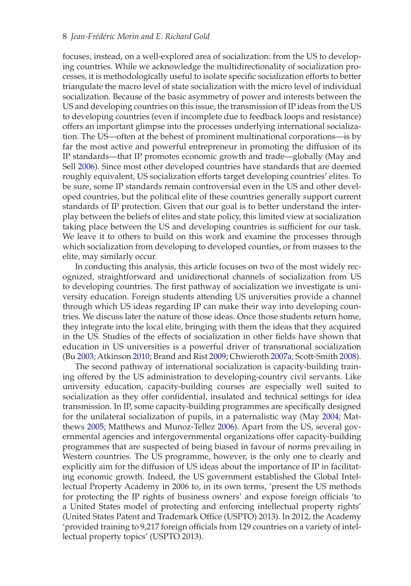focuses, instead, on a well-explored area of socialization: from the US to developing countries. While we acknowledge the multidirectionality of socialization processes, it is methodologically useful to isolate specific socialization efforts to better triangulate the macro level of state socialization with the micro level of individual socialization. Because of the basic asymmetry of power and interests between the US and developing countries on this issue, the transmission of IP ideas from the US to developing countries (even if incomplete due to feedback loops and resistance) offers an important glimpse into the processes underlying international socialization. The US—often at the behest of prominent multinational corporations—is by far the most active and powerful entrepreneur in promoting the diffusion of its IP standards—that IP promotes economic growth and trade—globally (May and Sell [2006\)](#page-17-17). Since most other developed countries have standards that are deemed roughly equivalent, US socialization efforts target developing countries' elites. To be sure, some IP standards remain controversial even in the US and other developed countries, but the political elite of these countries generally support current standards of IP protection. Given that our goal is to better understand the interplay between the beliefs of elites and state policy, this limited view at socialization taking place between the US and developing countries is sufficient for our task. We leave it to others to build on this work and examine the processes through which socialization from developing to developed counties, or from masses to the elite, may similarly occur.

<span id="page-7-5"></span>In conducting this analysis, this article focuses on two of the most widely recognized, straightforward and unidirectional channels of socialization from US to developing countries. The first pathway of socialization we investigate is university education. Foreign students attending US universities provide a channel through which US ideas regarding IP can make their way into developing countries. We discuss later the nature of those ideas. Once those students return home, they integrate into the local elite, bringing with them the ideas that they acquired in the US. Studies of the effects of socialization in other fields have shown that education in US universities is a powerful driver of transnational socialization (Bu [2003;](#page-16-12) Atkinson [2010;](#page-16-8) Brand and Rist [2009](#page-16-13); Chwieroth [2007a](#page-16-7); Scott-Smith [2008\)](#page-17-18).

<span id="page-7-6"></span><span id="page-7-4"></span><span id="page-7-3"></span><span id="page-7-2"></span><span id="page-7-1"></span><span id="page-7-0"></span>The second pathway of international socialization is capacity-building training offered by the US administration to developing-country civil servants. Like university education, capacity-building courses are especially well suited to socialization as they offer confidential, insulated and technical settings for idea transmission. In IP, some capacity-building programmes are specifically designed for the unilateral socialization of pupils, in a paternalistic way (May [2004;](#page-17-19) Matthews [2005;](#page-17-20) Matthews and Munoz-Tellez [2006](#page-17-21)). Apart from the US, several governmental agencies and intergovernmental organizations offer capacity-building programmes that are suspected of being biased in favour of norms prevailing in Western countries. The US programme, however, is the only one to clearly and explicitly aim for the diffusion of US ideas about the importance of IP in facilitating economic growth. Indeed, the US government established the Global Intellectual Property Academy in 2006 to, in its own terms, 'present the US methods for protecting the IP rights of business owners' and expose foreign officials 'to a United States model of protecting and enforcing intellectual property rights' (United States Patent and Trademark Office (USPTO) 2013). In 2012, the Academy 'provided training to 9,217 foreign officials from 129 countries on a variety of intellectual property topics' (USPTO 2013).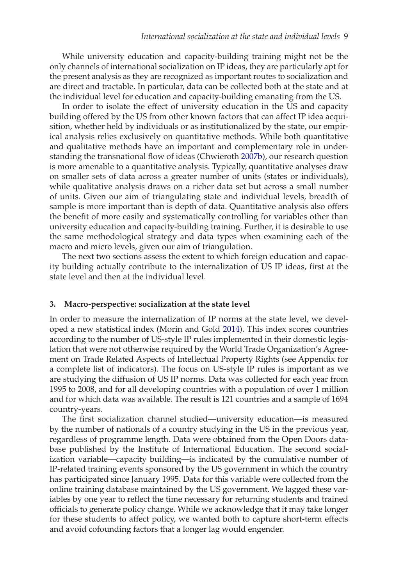While university education and capacity-building training might not be the only channels of international socialization on IP ideas, they are particularly apt for the present analysis as they are recognized as important routes to socialization and are direct and tractable. In particular, data can be collected both at the state and at the individual level for education and capacity-building emanating from the US.

<span id="page-8-0"></span>In order to isolate the effect of university education in the US and capacity building offered by the US from other known factors that can affect IP idea acquisition, whether held by individuals or as institutionalized by the state, our empirical analysis relies exclusively on quantitative methods. While both quantitative and qualitative methods have an important and complementary role in understanding the transnational flow of ideas (Chwieroth [2007b](#page-16-14)), our research question is more amenable to a quantitative analysis. Typically, quantitative analyses draw on smaller sets of data across a greater number of units (states or individuals), while qualitative analysis draws on a richer data set but across a small number of units. Given our aim of triangulating state and individual levels, breadth of sample is more important than is depth of data. Quantitative analysis also offers the benefit of more easily and systematically controlling for variables other than university education and capacity-building training. Further, it is desirable to use the same methodological strategy and data types when examining each of the macro and micro levels, given our aim of triangulation.

The next two sections assess the extent to which foreign education and capacity building actually contribute to the internalization of US IP ideas, first at the state level and then at the individual level.

#### **3. Macro-perspective: socialization at the state level**

<span id="page-8-1"></span>In order to measure the internalization of IP norms at the state level, we developed a new statistical index (Morin and Gold [2014\)](#page-17-22). This index scores countries according to the number of US-style IP rules implemented in their domestic legislation that were not otherwise required by the World Trade Organization's Agreement on Trade Related Aspects of Intellectual Property Rights (see Appendix for a complete list of indicators). The focus on US-style IP rules is important as we are studying the diffusion of US IP norms. Data was collected for each year from 1995 to 2008, and for all developing countries with a population of over 1 million and for which data was available. The result is 121 countries and a sample of 1694 country-years.

The first socialization channel studied—university education—is measured by the number of nationals of a country studying in the US in the previous year, regardless of programme length. Data were obtained from the Open Doors database published by the Institute of International Education. The second socialization variable—capacity building—is indicated by the cumulative number of IP-related training events sponsored by the US government in which the country has participated since January 1995. Data for this variable were collected from the online training database maintained by the US government. We lagged these variables by one year to reflect the time necessary for returning students and trained officials to generate policy change. While we acknowledge that it may take longer for these students to affect policy, we wanted both to capture short-term effects and avoid cofounding factors that a longer lag would engender.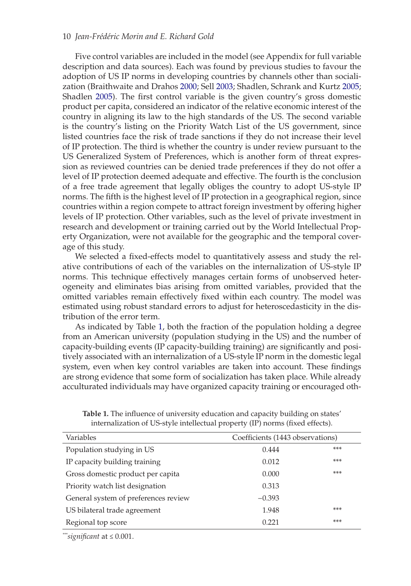<span id="page-9-4"></span><span id="page-9-3"></span><span id="page-9-2"></span><span id="page-9-1"></span>Five control variables are included in the model (see Appendix for full variable description and data sources). Each was found by previous studies to favour the adoption of US IP norms in developing countries by channels other than socialization (Braithwaite and Drahos [2000](#page-16-15); Sell [2003;](#page-17-23) Shadlen, Schrank and Kurtz [2005](#page-18-3); Shadlen [2005\)](#page-18-4). The first control variable is the given country's gross domestic product per capita, considered an indicator of the relative economic interest of the country in aligning its law to the high standards of the US. The second variable is the country's listing on the Priority Watch List of the US government, since listed countries face the risk of trade sanctions if they do not increase their level of IP protection. The third is whether the country is under review pursuant to the US Generalized System of Preferences, which is another form of threat expression as reviewed countries can be denied trade preferences if they do not offer a level of IP protection deemed adequate and effective. The fourth is the conclusion of a free trade agreement that legally obliges the country to adopt US-style IP norms. The fifth is the highest level of IP protection in a geographical region, since countries within a region compete to attract foreign investment by offering higher levels of IP protection. Other variables, such as the level of private investment in research and development or training carried out by the World Intellectual Property Organization, were not available for the geographic and the temporal coverage of this study.

We selected a fixed-effects model to quantitatively assess and study the relative contributions of each of the variables on the internalization of US-style IP norms. This technique effectively manages certain forms of unobserved heterogeneity and eliminates bias arising from omitted variables, provided that the omitted variables remain effectively fixed within each country. The model was estimated using robust standard errors to adjust for heteroscedasticity in the distribution of the error term.

As indicated by Table [1](#page-9-0), both the fraction of the population holding a degree from an American university (population studying in the US) and the number of capacity-building events (IP capacity-building training) are significantly and positively associated with an internalization of a US-style IP norm in the domestic legal system, even when key control variables are taken into account. These findings are strong evidence that some form of socialization has taken place. While already acculturated individuals may have organized capacity training or encouraged oth-

| Variables                            | Coefficients (1443 observations) |     |
|--------------------------------------|----------------------------------|-----|
| Population studying in US            | 0.444                            | *** |
| IP capacity building training        | 0.012                            | *** |
| Gross domestic product per capita    | 0.000                            | *** |
| Priority watch list designation      | 0.313                            |     |
| General system of preferences review | $-0.393$                         |     |
| US bilateral trade agreement         | 1.948                            | *** |
| Regional top score                   | 0.221                            | *** |
|                                      |                                  |     |

<span id="page-9-0"></span>**Table 1.** The influence of university education and capacity building on states' internalization of US-style intellectual property (IP) norms (fixed effects).

*\*\*\*significant* at ≤ 0.001.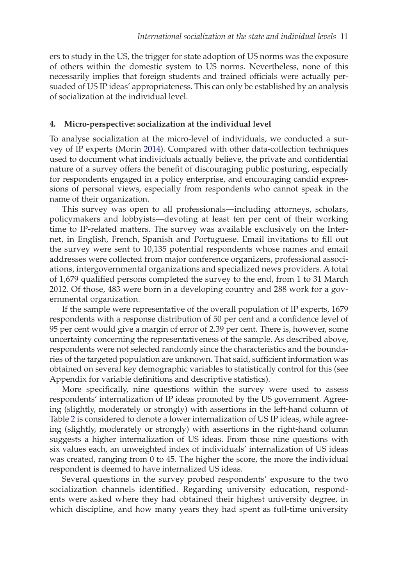ers to study in the US, the trigger for state adoption of US norms was the exposure of others within the domestic system to US norms. Nevertheless, none of this necessarily implies that foreign students and trained officials were actually persuaded of US IP ideas' appropriateness. This can only be established by an analysis of socialization at the individual level.

#### **4. Micro-perspective: socialization at the individual level**

<span id="page-10-0"></span>To analyse socialization at the micro-level of individuals, we conducted a survey of IP experts (Morin [2014\)](#page-17-24). Compared with other data-collection techniques used to document what individuals actually believe, the private and confidential nature of a survey offers the benefit of discouraging public posturing, especially for respondents engaged in a policy enterprise, and encouraging candid expressions of personal views, especially from respondents who cannot speak in the name of their organization.

This survey was open to all professionals—including attorneys, scholars, policymakers and lobbyists—devoting at least ten per cent of their working time to IP-related matters. The survey was available exclusively on the Internet, in English, French, Spanish and Portuguese. Email invitations to fill out the survey were sent to 10,135 potential respondents whose names and email addresses were collected from major conference organizers, professional associations, intergovernmental organizations and specialized news providers. A total of 1,679 qualified persons completed the survey to the end, from 1 to 31 March 2012. Of those, 483 were born in a developing country and 288 work for a governmental organization.

If the sample were representative of the overall population of IP experts, 1679 respondents with a response distribution of 50 per cent and a confidence level of 95 per cent would give a margin of error of 2.39 per cent. There is, however, some uncertainty concerning the representativeness of the sample. As described above, respondents were not selected randomly since the characteristics and the boundaries of the targeted population are unknown. That said, sufficient information was obtained on several key demographic variables to statistically control for this (see Appendix for variable definitions and descriptive statistics).

More specifically, nine questions within the survey were used to assess respondents' internalization of IP ideas promoted by the US government. Agreeing (slightly, moderately or strongly) with assertions in the left-hand column of Table [2](#page-11-0) is considered to denote a lower internalization of US IP ideas, while agreeing (slightly, moderately or strongly) with assertions in the right-hand column suggests a higher internalization of US ideas. From those nine questions with six values each, an unweighted index of individuals' internalization of US ideas was created, ranging from 0 to 45. The higher the score, the more the individual respondent is deemed to have internalized US ideas.

Several questions in the survey probed respondents' exposure to the two socialization channels identified. Regarding university education, respondents were asked where they had obtained their highest university degree, in which discipline, and how many years they had spent as full-time university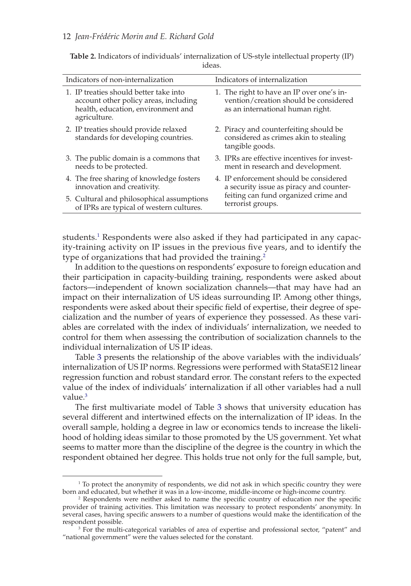| Indicators of non-internalization                                                                                                     | Indicators of internalization                                                                                          |
|---------------------------------------------------------------------------------------------------------------------------------------|------------------------------------------------------------------------------------------------------------------------|
| 1. IP treaties should better take into<br>account other policy areas, including<br>health, education, environment and<br>agriculture. | 1. The right to have an IP over one's in-<br>vention/creation should be considered<br>as an international human right. |
| 2. IP treaties should provide relaxed<br>standards for developing countries.                                                          | 2. Piracy and counterfeiting should be<br>considered as crimes akin to stealing<br>tangible goods.                     |
| 3. The public domain is a commons that<br>needs to be protected.                                                                      | 3. IPRs are effective incentives for invest-<br>ment in research and development.                                      |
| 4. The free sharing of knowledge fosters<br>innovation and creativity.                                                                | 4. IP enforcement should be considered<br>a security issue as piracy and counter-                                      |
| 5. Cultural and philosophical assumptions<br>of IPRs are typical of western cultures.                                                 | feiting can fund organized crime and<br>terrorist groups.                                                              |

<span id="page-11-0"></span>**Table 2.** Indicators of individuals' internalization of US-style intellectual property (IP) ideas.

students.<sup>[1](#page-11-1)</sup> Respondents were also asked if they had participated in any capacity-training activity on IP issues in the previous five years, and to identify the type of organizations that had provided the training.<sup>[2](#page-11-2)</sup>

In addition to the questions on respondents' exposure to foreign education and their participation in capacity-building training, respondents were asked about factors—independent of known socialization channels—that may have had an impact on their internalization of US ideas surrounding IP. Among other things, respondents were asked about their specific field of expertise, their degree of specialization and the number of years of experience they possessed. As these variables are correlated with the index of individuals' internalization, we needed to control for them when assessing the contribution of socialization channels to the individual internalization of US IP ideas.

Table [3](#page-12-0) presents the relationship of the above variables with the individuals' internalization of US IP norms. Regressions were performed with StataSE12 linear regression function and robust standard error. The constant refers to the expected value of the index of individuals' internalization if all other variables had a null  $value<sup>3</sup>$  $value<sup>3</sup>$  $value<sup>3</sup>$ 

The first multivariate model of Table [3](#page-12-0) shows that university education has several different and intertwined effects on the internalization of IP ideas. In the overall sample, holding a degree in law or economics tends to increase the likelihood of holding ideas similar to those promoted by the US government. Yet what seems to matter more than the discipline of the degree is the country in which the respondent obtained her degree. This holds true not only for the full sample, but,

<span id="page-11-1"></span><sup>&</sup>lt;sup>1</sup> To protect the anonymity of respondents, we did not ask in which specific country they were born and educated, but whether it was in a low-income, middle-income or high-income country.

<span id="page-11-2"></span><sup>&</sup>lt;sup>2</sup> Respondents were neither asked to name the specific country of education nor the specific provider of training activities. This limitation was necessary to protect respondents' anonymity. In several cases, having specific answers to a number of questions would make the identification of the respondent possible.

<span id="page-11-3"></span><sup>&</sup>lt;sup>3</sup> For the multi-categorical variables of area of expertise and professional sector, "patent" and "national government" were the values selected for the constant.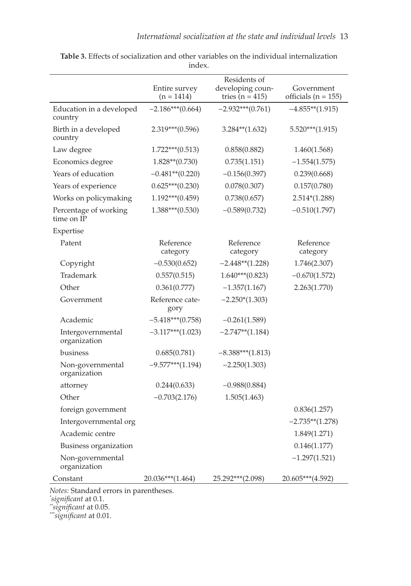|                                                               | Entire survey<br>$(n = 1414)$ | Residents of<br>developing coun-<br>tries ( $n = 415$ ) | Government<br>officials ( $n = 155$ ) |
|---------------------------------------------------------------|-------------------------------|---------------------------------------------------------|---------------------------------------|
| Education in a developed<br>country                           | $-2.186***(0.664)$            | $-2.932***(0.761)$                                      | $-4.855**$ (1.915)                    |
| Birth in a developed<br>country                               | $2.319***$ (0.596)            | $3.284**$ (1.632)                                       | $5.520***(1.915)$                     |
| Law degree                                                    | $1.722***(0.513)$             | 0.858(0.882)                                            | 1.460(1.568)                          |
| Economics degree                                              | $1.828**$ (0.730)             | 0.735(1.151)                                            | $-1.554(1.575)$                       |
| Years of education                                            | $-0.481**$ (0.220)            | $-0.156(0.397)$                                         | 0.239(0.668)                          |
| Years of experience                                           | $0.625***(0.230)$             | 0.078(0.307)                                            | 0.157(0.780)                          |
| Works on policymaking                                         | $1.192***(0.459)$             | 0.738(0.657)                                            | $2.514*(1.288)$                       |
| Percentage of working<br>time on IP                           | $1.388***(0.530)$             | $-0.589(0.732)$                                         | $-0.510(1.797)$                       |
| Expertise                                                     |                               |                                                         |                                       |
| Patent                                                        | Reference<br>category         | Reference<br>category                                   | Reference<br>category                 |
| Copyright                                                     | $-0.530(0.652)$               | $-2.448**$ (1.228)                                      | 1.746(2.307)                          |
| Trademark                                                     | 0.557(0.515)                  | $1.640***$ (0.823)                                      | $-0.670(1.572)$                       |
| Other                                                         | 0.361(0.777)                  | $-1.357(1.167)$                                         | 2.263(1.770)                          |
| Government                                                    | Reference cate-<br>gory       | $-2.250*(1.303)$                                        |                                       |
| Academic                                                      | $-5.418***$ (0.758)           | $-0.261(1.589)$                                         |                                       |
| Intergovernmental<br>organization                             | $-3.117***(1.023)$            | $-2.747**$ (1.184)                                      |                                       |
| business                                                      | 0.685(0.781)                  | $-8.388***(1.813)$                                      |                                       |
| Non-governmental<br>organization                              | $-9.577***(1.194)$            | $-2.250(1.303)$                                         |                                       |
| attorney                                                      | 0.244(0.633)                  | $-0.988(0.884)$                                         |                                       |
| Other                                                         | $-0.703(2.176)$               | 1.505(1.463)                                            |                                       |
| foreign government                                            |                               |                                                         | 0.836(1.257)                          |
| Intergovernmental org                                         |                               |                                                         | $-2.735**$ (1.278)                    |
| Academic centre                                               |                               |                                                         | 1.849(1.271)                          |
| Business organization                                         |                               |                                                         | 0.146(1.177)                          |
| Non-governmental<br>organization                              |                               |                                                         | $-1.297(1.521)$                       |
| Constant                                                      | 20.036***(1.464)              | 25.292***(2.098)                                        | 20.605***(4.592)                      |
| Notes: Standard errors in parentheses.<br>significant at 0.1. |                               |                                                         |                                       |

<span id="page-12-0"></span>**Table 3.** Effects of socialization and other variables on the individual internalization index.

*\*\*significant* at 0.05.

*\*\*\*significant* at 0.01.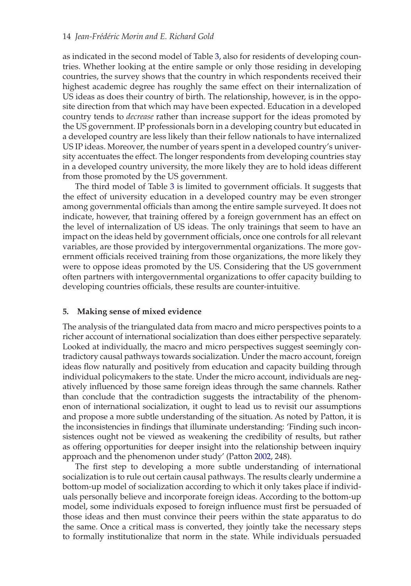as indicated in the second model of Table [3](#page-12-0), also for residents of developing countries. Whether looking at the entire sample or only those residing in developing countries, the survey shows that the country in which respondents received their highest academic degree has roughly the same effect on their internalization of US ideas as does their country of birth. The relationship, however, is in the opposite direction from that which may have been expected. Education in a developed country tends to *decrease* rather than increase support for the ideas promoted by the US government. IP professionals born in a developing country but educated in a developed country are less likely than their fellow nationals to have internalized US IP ideas. Moreover, the number of years spent in a developed country's university accentuates the effect. The longer respondents from developing countries stay in a developed country university, the more likely they are to hold ideas different from those promoted by the US government.

The third model of Table [3](#page-12-0) is limited to government officials. It suggests that the effect of university education in a developed country may be even stronger among governmental officials than among the entire sample surveyed. It does not indicate, however, that training offered by a foreign government has an effect on the level of internalization of US ideas. The only trainings that seem to have an impact on the ideas held by government officials, once one controls for all relevant variables, are those provided by intergovernmental organizations. The more government officials received training from those organizations, the more likely they were to oppose ideas promoted by the US. Considering that the US government often partners with intergovernmental organizations to offer capacity building to developing countries officials, these results are counter-intuitive.

#### **5. Making sense of mixed evidence**

The analysis of the triangulated data from macro and micro perspectives points to a richer account of international socialization than does either perspective separately. Looked at individually, the macro and micro perspectives suggest seemingly contradictory causal pathways towards socialization. Under the macro account, foreign ideas flow naturally and positively from education and capacity building through individual policymakers to the state. Under the micro account, individuals are negatively influenced by those same foreign ideas through the same channels. Rather than conclude that the contradiction suggests the intractability of the phenomenon of international socialization, it ought to lead us to revisit our assumptions and propose a more subtle understanding of the situation. As noted by Patton, it is the inconsistencies in findings that illuminate understanding: 'Finding such inconsistences ought not be viewed as weakening the credibility of results, but rather as offering opportunities for deeper insight into the relationship between inquiry approach and the phenomenon under study' (Patton [2002](#page-17-25), 248).

<span id="page-13-0"></span>The first step to developing a more subtle understanding of international socialization is to rule out certain causal pathways. The results clearly undermine a bottom-up model of socialization according to which it only takes place if individuals personally believe and incorporate foreign ideas. According to the bottom-up model, some individuals exposed to foreign influence must first be persuaded of those ideas and then must convince their peers within the state apparatus to do the same. Once a critical mass is converted, they jointly take the necessary steps to formally institutionalize that norm in the state. While individuals persuaded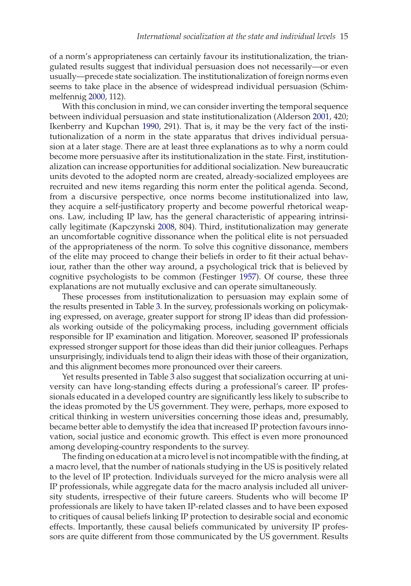of a norm's appropriateness can certainly favour its institutionalization, the triangulated results suggest that individual persuasion does not necessarily—or even usually—precede state socialization. The institutionalization of foreign norms even seems to take place in the absence of widespread individual persuasion (Schimmelfennig [2000](#page-17-1), 112).

With this conclusion in mind, we can consider inverting the temporal sequence between individual persuasion and state institutionalization (Alderson [2001,](#page-16-6) 420; Ikenberry and Kupchan [1990,](#page-17-3) 291). That is, it may be the very fact of the institutionalization of a norm in the state apparatus that drives individual persuasion at a later stage. There are at least three explanations as to why a norm could become more persuasive after its institutionalization in the state. First, institutionalization can increase opportunities for additional socialization. New bureaucratic units devoted to the adopted norm are created, already-socialized employees are recruited and new items regarding this norm enter the political agenda. Second, from a discursive perspective, once norms become institutionalized into law, they acquire a self-justificatory property and become powerful rhetorical weapons. Law, including IP law, has the general characteristic of appearing intrinsically legitimate (Kapczynski [2008,](#page-17-14) 804). Third, institutionalization may generate an uncomfortable cognitive dissonance when the political elite is not persuaded of the appropriateness of the norm. To solve this cognitive dissonance, members of the elite may proceed to change their beliefs in order to fit their actual behaviour, rather than the other way around, a psychological trick that is believed by cognitive psychologists to be common (Festinger [1957\)](#page-17-26). Of course, these three explanations are not mutually exclusive and can operate simultaneously.

<span id="page-14-0"></span>These processes from institutionalization to persuasion may explain some of the results presented in Table [3](#page-12-0). In the survey, professionals working on policymaking expressed, on average, greater support for strong IP ideas than did professionals working outside of the policymaking process, including government officials responsible for IP examination and litigation. Moreover, seasoned IP professionals expressed stronger support for those ideas than did their junior colleagues. Perhaps unsurprisingly, individuals tend to align their ideas with those of their organization, and this alignment becomes more pronounced over their careers.

Yet results presented in Table [3](#page-12-0) also suggest that socialization occurring at university can have long-standing effects during a professional's career. IP professionals educated in a developed country are significantly less likely to subscribe to the ideas promoted by the US government. They were, perhaps, more exposed to critical thinking in western universities concerning those ideas and, presumably, became better able to demystify the idea that increased IP protection favours innovation, social justice and economic growth. This effect is even more pronounced among developing-country respondents to the survey.

The finding on education at a micro level is not incompatible with the finding, at a macro level, that the number of nationals studying in the US is positively related to the level of IP protection. Individuals surveyed for the micro analysis were all IP professionals, while aggregate data for the macro analysis included all university students, irrespective of their future careers. Students who will become IP professionals are likely to have taken IP-related classes and to have been exposed to critiques of causal beliefs linking IP protection to desirable social and economic effects. Importantly, these causal beliefs communicated by university IP professors are quite different from those communicated by the US government. Results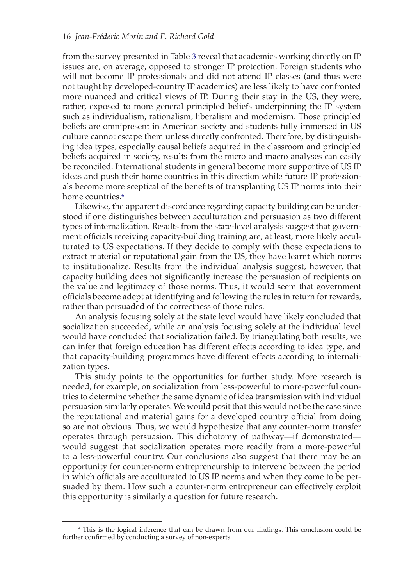from the survey presented in Table [3](#page-12-0) reveal that academics working directly on IP issues are, on average, opposed to stronger IP protection. Foreign students who will not become IP professionals and did not attend IP classes (and thus were not taught by developed-country IP academics) are less likely to have confronted more nuanced and critical views of IP. During their stay in the US, they were, rather, exposed to more general principled beliefs underpinning the IP system such as individualism, rationalism, liberalism and modernism. Those principled beliefs are omnipresent in American society and students fully immersed in US culture cannot escape them unless directly confronted. Therefore, by distinguishing idea types, especially causal beliefs acquired in the classroom and principled beliefs acquired in society, results from the micro and macro analyses can easily be reconciled. International students in general become more supportive of US IP ideas and push their home countries in this direction while future IP professionals become more sceptical of the benefits of transplanting US IP norms into their home countries.<sup>[4](#page-15-0)</sup>

Likewise, the apparent discordance regarding capacity building can be understood if one distinguishes between acculturation and persuasion as two different types of internalization. Results from the state-level analysis suggest that government officials receiving capacity-building training are, at least, more likely acculturated to US expectations. If they decide to comply with those expectations to extract material or reputational gain from the US, they have learnt which norms to institutionalize. Results from the individual analysis suggest, however, that capacity building does not significantly increase the persuasion of recipients on the value and legitimacy of those norms. Thus, it would seem that government officials become adept at identifying and following the rules in return for rewards, rather than persuaded of the correctness of those rules.

An analysis focusing solely at the state level would have likely concluded that socialization succeeded, while an analysis focusing solely at the individual level would have concluded that socialization failed. By triangulating both results, we can infer that foreign education has different effects according to idea type, and that capacity-building programmes have different effects according to internalization types.

This study points to the opportunities for further study. More research is needed, for example, on socialization from less-powerful to more-powerful countries to determine whether the same dynamic of idea transmission with individual persuasion similarly operates. We would posit that this would not be the case since the reputational and material gains for a developed country official from doing so are not obvious. Thus, we would hypothesize that any counter-norm transfer operates through persuasion. This dichotomy of pathway—if demonstrated would suggest that socialization operates more readily from a more-powerful to a less-powerful country. Our conclusions also suggest that there may be an opportunity for counter-norm entrepreneurship to intervene between the period in which officials are acculturated to US IP norms and when they come to be persuaded by them. How such a counter-norm entrepreneur can effectively exploit this opportunity is similarly a question for future research.

<span id="page-15-0"></span><sup>4</sup> This is the logical inference that can be drawn from our findings. This conclusion could be further confirmed by conducting a survey of non-experts.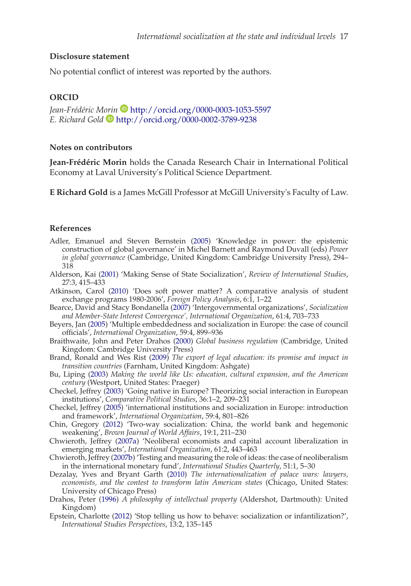## **Disclosure statement**

No potential conflict of interest was reported by the authors.

## **ORCID**

*Jean-Frédéric M[orin](http://orcid.org)* <http://orcid.org/0000-0003-1053-5597> *E. Richard Gold* <http://orcid.org/0000-0002-3789-9238>

### **Notes on contributors**

**Jean-Frédéric Morin** holds the Canada Research Chair in International Political Economy at Laval University's Political Science Department.

**E Richard Gold** is a James McGill Professor at McGill University's Faculty of Law.

## **References**

- <span id="page-16-3"></span>Adler, Emanuel and Steven Bernstein [\(2005](#page-2-0)) 'Knowledge in power: the epistemic construction of global governance' in Michel Barnett and Raymond Duvall (eds) *Power in global governance* (Cambridge, United Kingdom: Cambridge University Press), 294– 318
- <span id="page-16-6"></span>Alderson, Kai [\(2001](#page-2-1)) 'Making Sense of State Socialization', *Review of International Studies*, 27:3, 415–433
- <span id="page-16-8"></span>Atkinson, Carol [\(2010](#page-4-0)) 'Does soft power matter? A comparative analysis of student exchange programs 1980-2006', *Foreign Policy Analysis*, 6:1, 1–22
- <span id="page-16-5"></span>Bearce, David and Stacy Bondanella ([2007\)](#page-2-2) 'Intergovernmental organizations', *Socialization and Member-State Interest Convergence', International Organization*, 61:4, 703–733
- <span id="page-16-10"></span>Beyers, Jan [\(2005](#page-4-1)) 'Multiple embeddedness and socialization in Europe: the case of council officials', *International Organization*, 59:4, 899–936
- <span id="page-16-15"></span>Braithwaite, John and Peter Drahos ([2000\)](#page-9-1) *Global business regulation* (Cambridge, United Kingdom: Cambridge University Press)
- <span id="page-16-13"></span>Brand, Ronald and Wes Rist [\(2009](#page-7-0)) *The export of legal education: its promise and impact in transition countries* (Farnham, United Kingdom: Ashgate)
- <span id="page-16-12"></span>Bu, Liping ([2003\)](#page-7-1) *Making the world like Us: education, cultural expansion, and the American century* (Westport, United States: Praeger)
- <span id="page-16-4"></span>Checkel, Jeffrey [\(2003](#page-2-3)) 'Going native in Europe? Theorizing social interaction in European institutions', *Comparative Political Studies*, 36:1–2, 209–231
- <span id="page-16-0"></span>Checkel, Jeffrey [\(2005](#page-1-0)) 'international institutions and socialization in Europe: introduction and framework', *International Organization*, 59:4, 801–826
- <span id="page-16-1"></span>Chin, Gregory ([2012\)](#page-1-1) 'Two-way socialization: China, the world bank and hegemonic weakening', *Brown Journal of World Affairs*, 19:1, 211–230
- <span id="page-16-7"></span>Chwieroth, Jeffrey [\(2007a\)](#page-3-0) 'Neoliberal economists and capital account liberalization in emerging markets', *International Organization*, 61:2, 443–463
- <span id="page-16-14"></span>Chwieroth, Jeffrey [\(2007b](#page-8-0)) 'Testing and measuring the role of ideas: the case of neoliberalism in the international monetary fund', *International Studies Quarterly*, 51:1, 5–30
- <span id="page-16-9"></span>Dezalay, Yves and Bryant Garth ([2010\)](#page-4-2) *The internationalization of palace wars: lawyers, economists, and the contest to transform latin American states* (Chicago, United States: University of Chicago Press)
- <span id="page-16-11"></span>Drahos, Peter ([1996\)](#page-6-0) *A philosophy of intellectual property* (Aldershot, Dartmouth): United Kingdom)
- <span id="page-16-2"></span>Epstein, Charlotte ([2012\)](#page-1-2) 'Stop telling us how to behave: socialization or infantilization?', *International Studies Perspectives*, 13:2, 135–145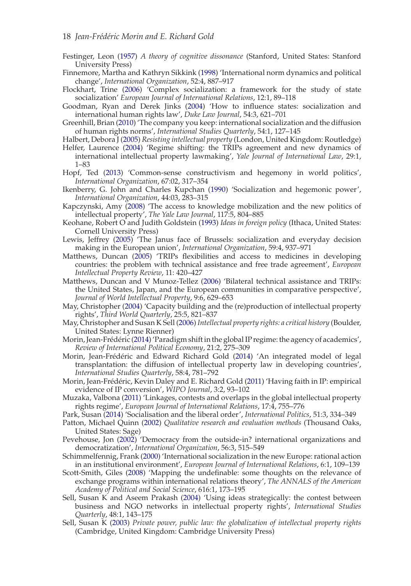- <span id="page-17-26"></span>Festinger, Leon [\(1957](#page-14-0)) *A theory of cognitive dissonance* (Stanford, United States: Stanford University Press)
- <span id="page-17-6"></span>Finnemore, Martha and Kathryn Sikkink ([1998\)](#page-3-1) 'International norm dynamics and political change', *International Organization*, 52:4, 887–917
- <span id="page-17-4"></span>Flockhart, Trine ([2006\)](#page-2-4) 'Complex socialization: a framework for the study of state socialization' *European Journal of International Relations*, 12:1, 89–118
- <span id="page-17-8"></span>Goodman, Ryan and Derek Jinks [\(2004](#page-4-3)) 'How to influence states: socialization and international human rights law', *Duke Law Journal*, 54:3, 621–701
- <span id="page-17-10"></span>Greenhill, Brian [\(2010](#page-5-0)) 'The company you keep: international socialization and the diffusion of human rights norms', *International Studies Quarterly*, 54:1, 127–145

<span id="page-17-12"></span>Halbert, Debora J ([2005\)](#page-6-1) *Resisting intellectual property* (London, United Kingdom: Routledge)

- <span id="page-17-13"></span>Helfer, Laurence [\(2004](#page-6-2)) 'Regime shifting: the TRIPs agreement and new dynamics of international intellectual property lawmaking', *Yale Journal of International Law*, 29:1, 1–83
- <span id="page-17-5"></span>Hopf, Ted [\(2013](#page-3-2)) 'Common-sense constructivism and hegemony in world politics', *International Organization*, 67:02, 317–354
- <span id="page-17-3"></span>Ikenberry, G. John and Charles Kupchan ([1990\)](#page-2-5) 'Socialization and hegemonic power', *International Organization*, 44:03, 283–315
- <span id="page-17-14"></span>Kapczynski, Amy [\(2008](#page-6-3)) 'The access to knowledge mobilization and the new politics of intellectual property', *The Yale Law Journal*, 117:5, 804–885
- <span id="page-17-2"></span>Keohane, Robert O and Judith Goldstein [\(1993](#page-1-3)) *Ideas in foreign policy* (Ithaca, United States: Cornell University Press)
- <span id="page-17-7"></span>Lewis, Jeffrey ([2005\)](#page-4-4) 'The Janus face of Brussels: socialization and everyday decision making in the European union', *International Organization*, 59:4, 937–971
- <span id="page-17-20"></span>Matthews, Duncan ([2005\)](#page-7-2) 'TRIPs flexibilities and access to medicines in developing countries: the problem with technical assistance and free trade agreement', *European Intellectual Property Review*, 11: 420–427
- <span id="page-17-21"></span>Matthews, Duncan and V Munoz-Tellez [\(2006](#page-7-3)) 'Bilateral technical assistance and TRIPs: the United States, Japan, and the European communities in comparative perspective', *Journal of World Intellectual Property*, 9:6, 629–653
- <span id="page-17-19"></span>May, Christopher ([2004\)](#page-7-4) 'Capacity building and the (re)production of intellectual property rights', *Third World Quarterly*, 25:5, 821–837
- <span id="page-17-17"></span>May, Christopher and Susan K Sell ([2006\)](#page-7-5) *Intellectual property rights: a critical history* (Boulder, United States: Lynne Rienner)
- <span id="page-17-24"></span>Morin, Jean-Frédéric ([2014\)](#page-10-0) 'Paradigm shift in the global IP regime: the agency of academics', *Review of International Political Economy*, 21:2, 275–309
- <span id="page-17-22"></span>Morin, Jean-Frédéric and Edward Richard Gold ([2014\)](#page-8-1) 'An integrated model of legal transplantation: the diffusion of intellectual property law in developing countries', *International Studies Quarterly*, 58:4, 781–792
- <span id="page-17-11"></span>Morin, Jean-Frédéric, Kevin Daley and E. Richard Gold ([2011](#page-6-4)) 'Having faith in IP: empirical evidence of IP conversion', *WIPO Journal*, 3:2, 93–102
- <span id="page-17-15"></span>Muzaka, Valbona [\(2011\)](#page-6-5) 'Linkages, contests and overlaps in the global intellectual property rights regime', *European Journal of International Relations*, 17:4, 755–776
- <span id="page-17-0"></span>Park, Susan [\(2014](#page-0-0)) 'Socialisation and the liberal order', *International Politics*, 51:3, 334–349
- <span id="page-17-25"></span>Patton, Michael Quinn ([2002\)](#page-13-0) *Qualitative research and evaluation methods* (Thousand Oaks, United States: Sage)
- <span id="page-17-9"></span>Pevehouse, Jon [\(2002](#page-4-5)) 'Democracy from the outside-in? international organizations and democratization', *International Organization*, 56:3, 515–549
- <span id="page-17-1"></span>Schimmelfennig, Frank ([2000\)](#page-1-4) 'International socialization in the new Europe: rational action in an institutional environment', *European Journal of International Relations*, 6:1, 109–139
- <span id="page-17-18"></span>Scott-Smith, Giles ([2008\)](#page-7-6) 'Mapping the undefinable: some thoughts on the relevance of exchange programs within international relations theory', *The ANNALS of the American Academy of Political and Social Science*, 616:1, 173–195
- <span id="page-17-16"></span>Sell, Susan K and Aseem Prakash [\(2004](#page-6-6)) 'Using ideas strategically: the contest between business and NGO networks in intellectual property rights', *International Studies Quarterly*, 48:1, 143–175
- <span id="page-17-23"></span>Sell, Susan K ([2003\)](#page-9-2) *Private power, public law: the globalization of intellectual property rights* (Cambridge, United Kingdom: Cambridge University Press)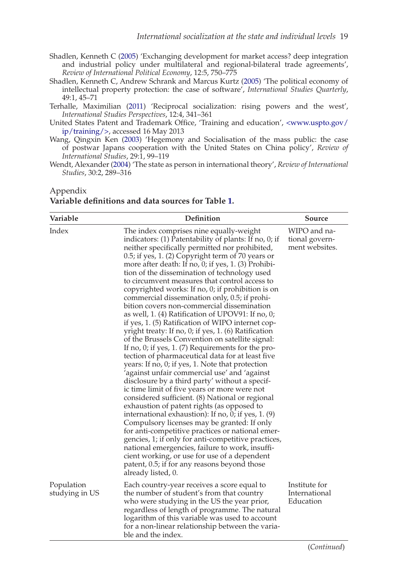- <span id="page-18-4"></span>Shadlen, Kenneth C [\(2005](#page-9-3)) 'Exchanging development for market access? deep integration and industrial policy under multilateral and regional-bilateral trade agreements', *Review of International Political Economy*, 12:5, 750–775
- <span id="page-18-3"></span>Shadlen, Kenneth C, Andrew Schrank and Marcus Kurtz ([2005\)](#page-9-4) 'The political economy of intellectual property protection: the case of software', *International Studies Quarterly*, 49:1, 45–71
- <span id="page-18-0"></span>Terhalle, Maximilian ([2011](#page-1-5)) 'Reciprocal socialization: rising powers and the west', *International Studies Perspectives*, 12:4, 341–361
- United States Patent and Trademark Office, 'Training and education', [<www.uspto.gov/](http://<www.uspto.gov/ip/training/>) [ip/training/>,](http://<www.uspto.gov/ip/training/>) accessed 16 May 2013
- <span id="page-18-2"></span>Wang, Qingxin Ken [\(2003](#page-4-6)) 'Hegemony and Socialisation of the mass public: the case of postwar Japans cooperation with the United States on China policy', *Review of International Studies*, 29:1, 99–119
- <span id="page-18-1"></span>Wendt, Alexander [\(2004](#page-2-6)) 'The state as person in international theory', *Review of International Studies*, 30:2, 289–316

## Appendix **Variable definitions and data sources for Table [1.](#page-9-0)**

| Variable                     | Definition                                                                                                                                                                                                                                                                                                                                                                                                                                                                                                                                                                                                                                                                                                                                                                                                                                                                                                                                                                                                                                                                                                                                                                                                                                                                                                                                                                                                                                                                                                                                              | Source                                           |
|------------------------------|---------------------------------------------------------------------------------------------------------------------------------------------------------------------------------------------------------------------------------------------------------------------------------------------------------------------------------------------------------------------------------------------------------------------------------------------------------------------------------------------------------------------------------------------------------------------------------------------------------------------------------------------------------------------------------------------------------------------------------------------------------------------------------------------------------------------------------------------------------------------------------------------------------------------------------------------------------------------------------------------------------------------------------------------------------------------------------------------------------------------------------------------------------------------------------------------------------------------------------------------------------------------------------------------------------------------------------------------------------------------------------------------------------------------------------------------------------------------------------------------------------------------------------------------------------|--------------------------------------------------|
| Index                        | The index comprises nine equally-weight<br>indicators: (1) Patentability of plants: If no, 0; if<br>neither specifically permitted nor prohibited,<br>0.5; if yes, 1. (2) Copyright term of 70 years or<br>more after death: If no, 0; if yes, 1. (3) Prohibi-<br>tion of the dissemination of technology used<br>to circumvent measures that control access to<br>copyrighted works: If no, 0; if prohibition is on<br>commercial dissemination only, 0.5; if prohi-<br>bition covers non-commercial dissemination<br>as well, 1. (4) Ratification of UPOV91: If no, 0;<br>if yes, 1. (5) Ratification of WIPO internet cop-<br>yright treaty: If no, 0; if yes, 1. (6) Ratification<br>of the Brussels Convention on satellite signal:<br>If no, 0; if yes, 1. $(7)$ Requirements for the pro-<br>tection of pharmaceutical data for at least five<br>years: If no, 0; if yes, 1. Note that protection<br>'against unfair commercial use' and 'against<br>disclosure by a third party' without a specif-<br>ic time limit of five years or more were not<br>considered sufficient. (8) National or regional<br>exhaustion of patent rights (as opposed to<br>international exhaustion): If no, 0; if yes, 1. $(9)$<br>Compulsory licenses may be granted: If only<br>for anti-competitive practices or national emer-<br>gencies, 1; if only for anti-competitive practices,<br>national emergencies, failure to work, insuffi-<br>cient working, or use for use of a dependent<br>patent, 0.5; if for any reasons beyond those<br>already listed, 0. | WIPO and na-<br>tional govern-<br>ment websites. |
| Population<br>studying in US | Each country-year receives a score equal to<br>the number of student's from that country<br>who were studying in the US the year prior,<br>regardless of length of programme. The natural<br>logarithm of this variable was used to account<br>for a non-linear relationship between the varia-<br>ble and the index.                                                                                                                                                                                                                                                                                                                                                                                                                                                                                                                                                                                                                                                                                                                                                                                                                                                                                                                                                                                                                                                                                                                                                                                                                                   | Institute for<br>International<br>Education      |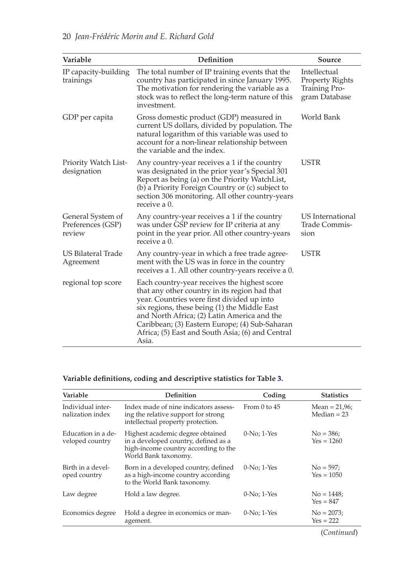| Variable                                         | Definition                                                                                                                                                                                                                                                                                                                                                | Source                                                                   |
|--------------------------------------------------|-----------------------------------------------------------------------------------------------------------------------------------------------------------------------------------------------------------------------------------------------------------------------------------------------------------------------------------------------------------|--------------------------------------------------------------------------|
| IP capacity-building<br>trainings                | The total number of IP training events that the<br>country has participated in since January 1995.<br>The motivation for rendering the variable as a<br>stock was to reflect the long-term nature of this<br>investment.                                                                                                                                  | Intellectual<br><b>Property Rights</b><br>Training Pro-<br>gram Database |
| GDP per capita                                   | Gross domestic product (GDP) measured in<br>current US dollars, divided by population. The<br>natural logarithm of this variable was used to<br>account for a non-linear relationship between<br>the variable and the index.                                                                                                                              | World Bank                                                               |
| Priority Watch List-<br>designation              | Any country-year receives a 1 if the country<br>was designated in the prior year's Special 301<br>Report as being (a) on the Priority WatchList,<br>(b) a Priority Foreign Country or (c) subject to<br>section 306 monitoring. All other country-years<br>receive a 0.                                                                                   | <b>USTR</b>                                                              |
| General System of<br>Preferences (GSP)<br>review | Any country-year receives a 1 if the country<br>was under GSP review for IP criteria at any<br>point in the year prior. All other country-years<br>receive a 0.                                                                                                                                                                                           | US International<br>Trade Commis-<br>sion                                |
| US Bilateral Trade<br>Agreement                  | Any country-year in which a free trade agree-<br>ment with the US was in force in the country<br>receives a 1. All other country-years receive a 0.                                                                                                                                                                                                       | <b>USTR</b>                                                              |
| regional top score                               | Each country-year receives the highest score<br>that any other country in its region had that<br>year. Countries were first divided up into<br>six regions, these being (1) the Middle East<br>and North Africa; (2) Latin America and the<br>Caribbean; (3) Eastern Europe; (4) Sub-Saharan<br>Africa; (5) East and South Asia; (6) and Central<br>Asia. |                                                                          |

## 20 *Jean-Frédéric Morin and E. Richard Gold*

## **Variable definitions, coding and descriptive statistics for Table [3.](#page-12-0)**

| Variable                              | Definition                                                                                                                               | Coding           | <b>Statistics</b>                 |
|---------------------------------------|------------------------------------------------------------------------------------------------------------------------------------------|------------------|-----------------------------------|
| Individual inter-<br>nalization index | Index made of nine indicators assess-<br>ing the relative support for strong<br>intellectual property protection.                        | From $0$ to $45$ | Mean = $21,96$ ;<br>$Median = 23$ |
| Education in a de-<br>veloped country | Highest academic degree obtained<br>in a developed country, defined as a<br>high-income country according to the<br>World Bank taxonomy. | $0-No$ ; $1-Yes$ | $No = 386;$<br>$Yes = 1260$       |
| Birth in a devel-<br>oped country     | Born in a developed country, defined<br>as a high-income country according<br>to the World Bank taxonomy.                                | $0-No$ ; 1-Yes   | $No = 597;$<br>$Yes = 1050$       |
| Law degree                            | Hold a law degree.                                                                                                                       | $0-No: 1-Yes$    | $No = 1448$<br>$Yes = 847$        |
| Economics degree                      | Hold a degree in economics or man-<br>agement.                                                                                           | $0-No$ ; $1-Yes$ | $No = 2073;$<br>$Yes = 222$       |

(*Continued*)